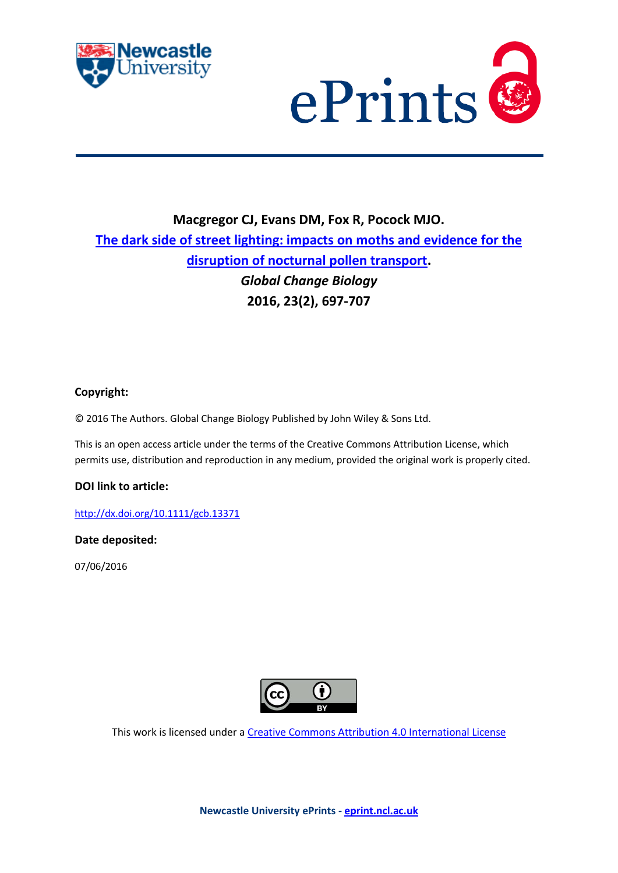



# **Macgregor CJ, Evans DM, Fox R, Pocock MJO. [The dark side of street lighting: impacts on moths and evidence for the](javascript:ViewPublication(225474);)  [disruption of nocturnal pollen transport.](javascript:ViewPublication(225474);)** *Global Change Biology* **2016, 23(2), 697-707**

# **Copyright:**

© 2016 The Authors. Global Change Biology Published by John Wiley & Sons Ltd.

This is an open access article under the terms of the Creative Commons Attribution License, which permits use, distribution and reproduction in any medium, provided the original work is properly cited.

# **DOI link to article:**

<http://dx.doi.org/10.1111/gcb.13371>

# **Date deposited:**

07/06/2016



This work is licensed under [a Creative Commons Attribution 4.0 International License](http://creativecommons.org/licenses/by/4.0/)

**Newcastle University ePrints - [eprint.ncl.ac.uk](http://eprint.ncl.ac.uk/)**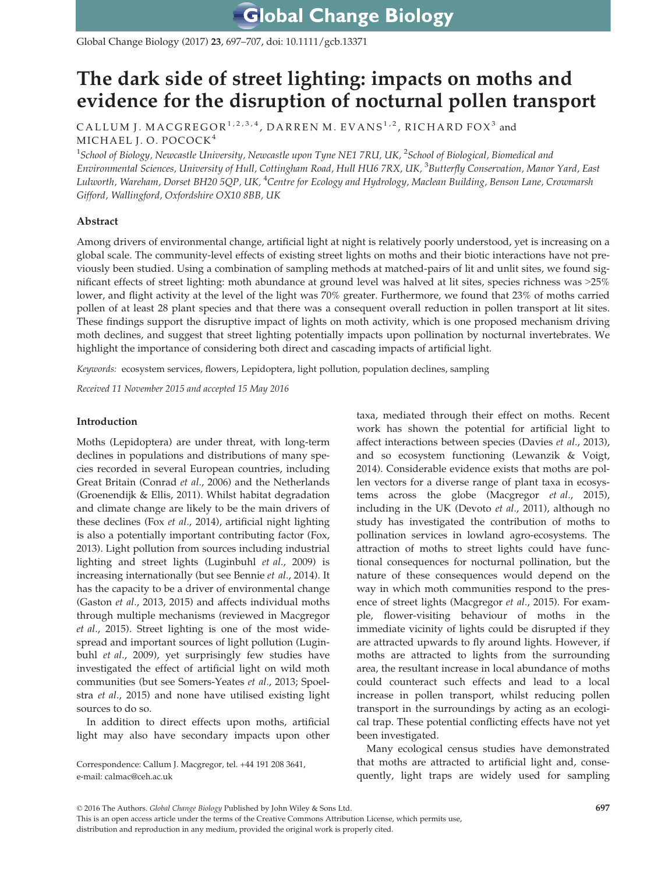Global Change Biology (2017) 23, 697–707, doi: 10.1111/gcb.13371

# The dark side of street lighting: impacts on moths and evidence for the disruption of nocturnal pollen transport

CALLUM J. MACGREGOR<sup>1,2,3,4</sup>, DARREN M. EVANS<sup>1,2</sup>, RICHARD FOX<sup>3</sup> and MICHAEL J. O. POCOCK<sup>4</sup>

 $^1$ School of Biology, Newcastle University, Newcastle upon Tyne NE1 7RU, UK,  $^2$ School of Biological, Biomedical and Environmental Sciences, University of Hull, Cottingham Road, Hull HU6 7RX, UK, <sup>3</sup>Butterfly Conservation, Manor Yard, East Lulworth, Wareham, Dorset BH20 5QP, UK, <sup>4</sup>Centre for Ecology and Hydrology, Maclean Building, Benson Lane, Crowmarsh Gifford, Wallingford, Oxfordshire OX10 8BB, UK

# Abstract

Among drivers of environmental change, artificial light at night is relatively poorly understood, yet is increasing on a global scale. The community-level effects of existing street lights on moths and their biotic interactions have not previously been studied. Using a combination of sampling methods at matched-pairs of lit and unlit sites, we found significant effects of street lighting: moth abundance at ground level was halved at lit sites, species richness was >25% lower, and flight activity at the level of the light was 70% greater. Furthermore, we found that 23% of moths carried pollen of at least 28 plant species and that there was a consequent overall reduction in pollen transport at lit sites. These findings support the disruptive impact of lights on moth activity, which is one proposed mechanism driving moth declines, and suggest that street lighting potentially impacts upon pollination by nocturnal invertebrates. We highlight the importance of considering both direct and cascading impacts of artificial light.

Keywords: ecosystem services, flowers, Lepidoptera, light pollution, population declines, sampling

Received 11 November 2015 and accepted 15 May 2016

# Introduction

Moths (Lepidoptera) are under threat, with long-term declines in populations and distributions of many species recorded in several European countries, including Great Britain (Conrad et al., 2006) and the Netherlands (Groenendijk & Ellis, 2011). Whilst habitat degradation and climate change are likely to be the main drivers of these declines (Fox et al., 2014), artificial night lighting is also a potentially important contributing factor (Fox, 2013). Light pollution from sources including industrial lighting and street lights (Luginbuhl et al., 2009) is increasing internationally (but see Bennie et al., 2014). It has the capacity to be a driver of environmental change (Gaston et al., 2013, 2015) and affects individual moths through multiple mechanisms (reviewed in Macgregor et al., 2015). Street lighting is one of the most widespread and important sources of light pollution (Luginbuhl et al., 2009), yet surprisingly few studies have investigated the effect of artificial light on wild moth communities (but see Somers-Yeates et al., 2013; Spoelstra et al., 2015) and none have utilised existing light sources to do so.

In addition to direct effects upon moths, artificial light may also have secondary impacts upon other

Correspondence: Callum J. Macgregor, tel. +44 191 208 3641, e-mail: calmac@ceh.ac.uk

taxa, mediated through their effect on moths. Recent work has shown the potential for artificial light to affect interactions between species (Davies et al., 2013), and so ecosystem functioning (Lewanzik & Voigt, 2014). Considerable evidence exists that moths are pollen vectors for a diverse range of plant taxa in ecosystems across the globe (Macgregor et al., 2015), including in the UK (Devoto et al., 2011), although no study has investigated the contribution of moths to pollination services in lowland agro-ecosystems. The attraction of moths to street lights could have functional consequences for nocturnal pollination, but the nature of these consequences would depend on the way in which moth communities respond to the presence of street lights (Macgregor et al., 2015). For example, flower-visiting behaviour of moths in the immediate vicinity of lights could be disrupted if they are attracted upwards to fly around lights. However, if moths are attracted to lights from the surrounding area, the resultant increase in local abundance of moths could counteract such effects and lead to a local increase in pollen transport, whilst reducing pollen transport in the surroundings by acting as an ecological trap. These potential conflicting effects have not yet been investigated.

Many ecological census studies have demonstrated that moths are attracted to artificial light and, consequently, light traps are widely used for sampling

This is an open access article under the terms of the [Creative Commons Attribution](http://creativecommons.org/licenses/by/4.0/) License, which permits use, distribution and reproduction in any medium, provided the original work is properly cited.

<sup>© 2016</sup> The Authors. Global Change Biology Published by John Wiley & Sons Ltd. 697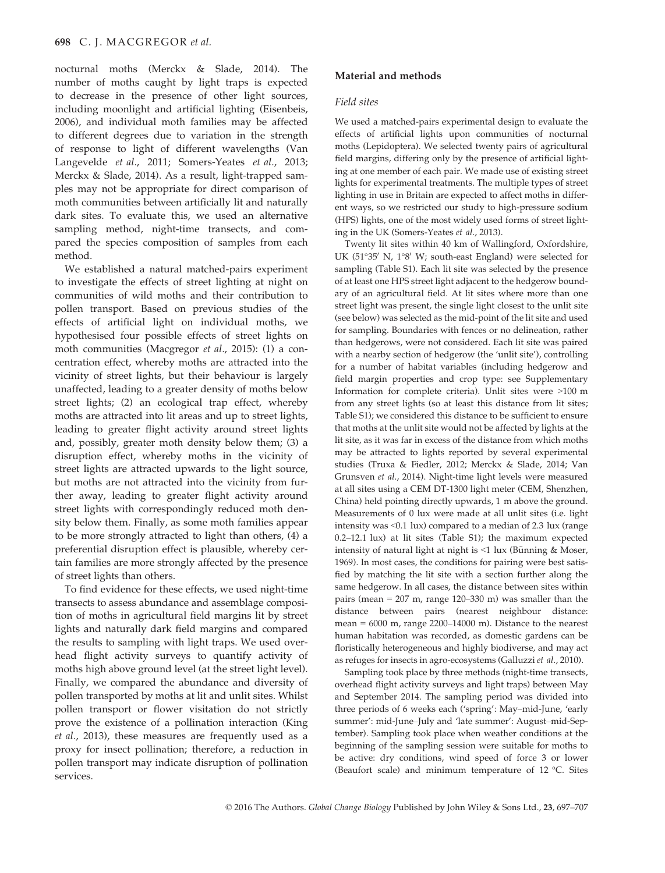nocturnal moths (Merckx & Slade, 2014). The number of moths caught by light traps is expected to decrease in the presence of other light sources, including moonlight and artificial lighting (Eisenbeis, 2006), and individual moth families may be affected to different degrees due to variation in the strength of response to light of different wavelengths (Van Langevelde et al., 2011; Somers-Yeates et al., 2013; Merckx & Slade, 2014). As a result, light-trapped samples may not be appropriate for direct comparison of moth communities between artificially lit and naturally dark sites. To evaluate this, we used an alternative sampling method, night-time transects, and compared the species composition of samples from each method.

We established a natural matched-pairs experiment to investigate the effects of street lighting at night on communities of wild moths and their contribution to pollen transport. Based on previous studies of the effects of artificial light on individual moths, we hypothesised four possible effects of street lights on moth communities (Macgregor et al., 2015): (1) a concentration effect, whereby moths are attracted into the vicinity of street lights, but their behaviour is largely unaffected, leading to a greater density of moths below street lights; (2) an ecological trap effect, whereby moths are attracted into lit areas and up to street lights, leading to greater flight activity around street lights and, possibly, greater moth density below them; (3) a disruption effect, whereby moths in the vicinity of street lights are attracted upwards to the light source, but moths are not attracted into the vicinity from further away, leading to greater flight activity around street lights with correspondingly reduced moth density below them. Finally, as some moth families appear to be more strongly attracted to light than others, (4) a preferential disruption effect is plausible, whereby certain families are more strongly affected by the presence of street lights than others.

To find evidence for these effects, we used night-time transects to assess abundance and assemblage composition of moths in agricultural field margins lit by street lights and naturally dark field margins and compared the results to sampling with light traps. We used overhead flight activity surveys to quantify activity of moths high above ground level (at the street light level). Finally, we compared the abundance and diversity of pollen transported by moths at lit and unlit sites. Whilst pollen transport or flower visitation do not strictly prove the existence of a pollination interaction (King et al., 2013), these measures are frequently used as a proxy for insect pollination; therefore, a reduction in pollen transport may indicate disruption of pollination services.

# Material and methods

## Field sites

We used a matched-pairs experimental design to evaluate the effects of artificial lights upon communities of nocturnal moths (Lepidoptera). We selected twenty pairs of agricultural field margins, differing only by the presence of artificial lighting at one member of each pair. We made use of existing street lights for experimental treatments. The multiple types of street lighting in use in Britain are expected to affect moths in different ways, so we restricted our study to high-pressure sodium (HPS) lights, one of the most widely used forms of street lighting in the UK (Somers-Yeates et al., 2013).

Twenty lit sites within 40 km of Wallingford, Oxfordshire, UK (51°35' N, 1°8' W; south-east England) were selected for sampling (Table S1). Each lit site was selected by the presence of at least one HPS street light adjacent to the hedgerow boundary of an agricultural field. At lit sites where more than one street light was present, the single light closest to the unlit site (see below) was selected as the mid-point of the lit site and used for sampling. Boundaries with fences or no delineation, rather than hedgerows, were not considered. Each lit site was paired with a nearby section of hedgerow (the 'unlit site'), controlling for a number of habitat variables (including hedgerow and field margin properties and crop type: see Supplementary Information for complete criteria). Unlit sites were >100 m from any street lights (so at least this distance from lit sites; Table S1); we considered this distance to be sufficient to ensure that moths at the unlit site would not be affected by lights at the lit site, as it was far in excess of the distance from which moths may be attracted to lights reported by several experimental studies (Truxa & Fiedler, 2012; Merckx & Slade, 2014; Van Grunsven et al., 2014). Night-time light levels were measured at all sites using a CEM DT-1300 light meter (CEM, Shenzhen, China) held pointing directly upwards, 1 m above the ground. Measurements of 0 lux were made at all unlit sites (i.e. light intensity was <0.1 lux) compared to a median of 2.3 lux (range 0.2–12.1 lux) at lit sites (Table S1); the maximum expected intensity of natural light at night is  $\leq 1$  lux (Bünning & Moser, 1969). In most cases, the conditions for pairing were best satisfied by matching the lit site with a section further along the same hedgerow. In all cases, the distance between sites within pairs (mean = 207 m, range 120–330 m) was smaller than the distance between pairs (nearest neighbour distance: mean = 6000 m, range 2200–14000 m). Distance to the nearest human habitation was recorded, as domestic gardens can be floristically heterogeneous and highly biodiverse, and may act as refuges for insects in agro-ecosystems (Galluzzi et al., 2010).

Sampling took place by three methods (night-time transects, overhead flight activity surveys and light traps) between May and September 2014. The sampling period was divided into three periods of 6 weeks each ('spring': May–mid-June, 'early summer': mid-June–July and 'late summer': August–mid-September). Sampling took place when weather conditions at the beginning of the sampling session were suitable for moths to be active: dry conditions, wind speed of force 3 or lower (Beaufort scale) and minimum temperature of 12 °C. Sites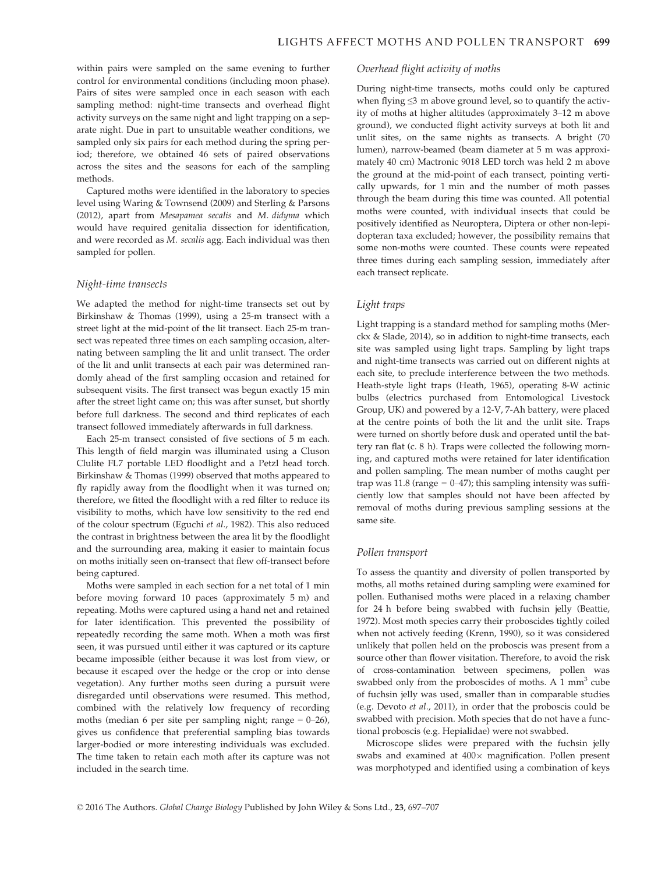within pairs were sampled on the same evening to further control for environmental conditions (including moon phase). Pairs of sites were sampled once in each season with each sampling method: night-time transects and overhead flight activity surveys on the same night and light trapping on a separate night. Due in part to unsuitable weather conditions, we sampled only six pairs for each method during the spring period; therefore, we obtained 46 sets of paired observations across the sites and the seasons for each of the sampling methods.

Captured moths were identified in the laboratory to species level using Waring & Townsend (2009) and Sterling & Parsons (2012), apart from Mesapamea secalis and M. didyma which would have required genitalia dissection for identification, and were recorded as M. secalis agg. Each individual was then sampled for pollen.

#### Night-time transects

We adapted the method for night-time transects set out by Birkinshaw & Thomas (1999), using a 25-m transect with a street light at the mid-point of the lit transect. Each 25-m transect was repeated three times on each sampling occasion, alternating between sampling the lit and unlit transect. The order of the lit and unlit transects at each pair was determined randomly ahead of the first sampling occasion and retained for subsequent visits. The first transect was begun exactly 15 min after the street light came on; this was after sunset, but shortly before full darkness. The second and third replicates of each transect followed immediately afterwards in full darkness.

Each 25-m transect consisted of five sections of 5 m each. This length of field margin was illuminated using a Cluson Clulite FL7 portable LED floodlight and a Petzl head torch. Birkinshaw & Thomas (1999) observed that moths appeared to fly rapidly away from the floodlight when it was turned on; therefore, we fitted the floodlight with a red filter to reduce its visibility to moths, which have low sensitivity to the red end of the colour spectrum (Eguchi et al., 1982). This also reduced the contrast in brightness between the area lit by the floodlight and the surrounding area, making it easier to maintain focus on moths initially seen on-transect that flew off-transect before being captured.

Moths were sampled in each section for a net total of 1 min before moving forward 10 paces (approximately 5 m) and repeating. Moths were captured using a hand net and retained for later identification. This prevented the possibility of repeatedly recording the same moth. When a moth was first seen, it was pursued until either it was captured or its capture became impossible (either because it was lost from view, or because it escaped over the hedge or the crop or into dense vegetation). Any further moths seen during a pursuit were disregarded until observations were resumed. This method, combined with the relatively low frequency of recording moths (median 6 per site per sampling night; range  $= 0-26$ ), gives us confidence that preferential sampling bias towards larger-bodied or more interesting individuals was excluded. The time taken to retain each moth after its capture was not included in the search time.

#### Overhead flight activity of moths

During night-time transects, moths could only be captured when flying ≤3 m above ground level, so to quantify the activity of moths at higher altitudes (approximately 3–12 m above ground), we conducted flight activity surveys at both lit and unlit sites, on the same nights as transects. A bright (70 lumen), narrow-beamed (beam diameter at 5 m was approximately 40 cm) Mactronic 9018 LED torch was held 2 m above the ground at the mid-point of each transect, pointing vertically upwards, for 1 min and the number of moth passes through the beam during this time was counted. All potential moths were counted, with individual insects that could be positively identified as Neuroptera, Diptera or other non-lepidopteran taxa excluded; however, the possibility remains that some non-moths were counted. These counts were repeated three times during each sampling session, immediately after each transect replicate.

#### Light traps

Light trapping is a standard method for sampling moths (Merckx & Slade, 2014), so in addition to night-time transects, each site was sampled using light traps. Sampling by light traps and night-time transects was carried out on different nights at each site, to preclude interference between the two methods. Heath-style light traps (Heath, 1965), operating 8-W actinic bulbs (electrics purchased from Entomological Livestock Group, UK) and powered by a 12-V, 7-Ah battery, were placed at the centre points of both the lit and the unlit site. Traps were turned on shortly before dusk and operated until the battery ran flat (c. 8 h). Traps were collected the following morning, and captured moths were retained for later identification and pollen sampling. The mean number of moths caught per trap was 11.8 (range  $= 0$ -47); this sampling intensity was sufficiently low that samples should not have been affected by removal of moths during previous sampling sessions at the same site.

#### Pollen transport

To assess the quantity and diversity of pollen transported by moths, all moths retained during sampling were examined for pollen. Euthanised moths were placed in a relaxing chamber for 24 h before being swabbed with fuchsin jelly (Beattie, 1972). Most moth species carry their proboscides tightly coiled when not actively feeding (Krenn, 1990), so it was considered unlikely that pollen held on the proboscis was present from a source other than flower visitation. Therefore, to avoid the risk of cross-contamination between specimens, pollen was swabbed only from the proboscides of moths. A 1 mm<sup>3</sup> cube of fuchsin jelly was used, smaller than in comparable studies (e.g. Devoto et al., 2011), in order that the proboscis could be swabbed with precision. Moth species that do not have a functional proboscis (e.g. Hepialidae) were not swabbed.

Microscope slides were prepared with the fuchsin jelly swabs and examined at  $400\times$  magnification. Pollen present was morphotyped and identified using a combination of keys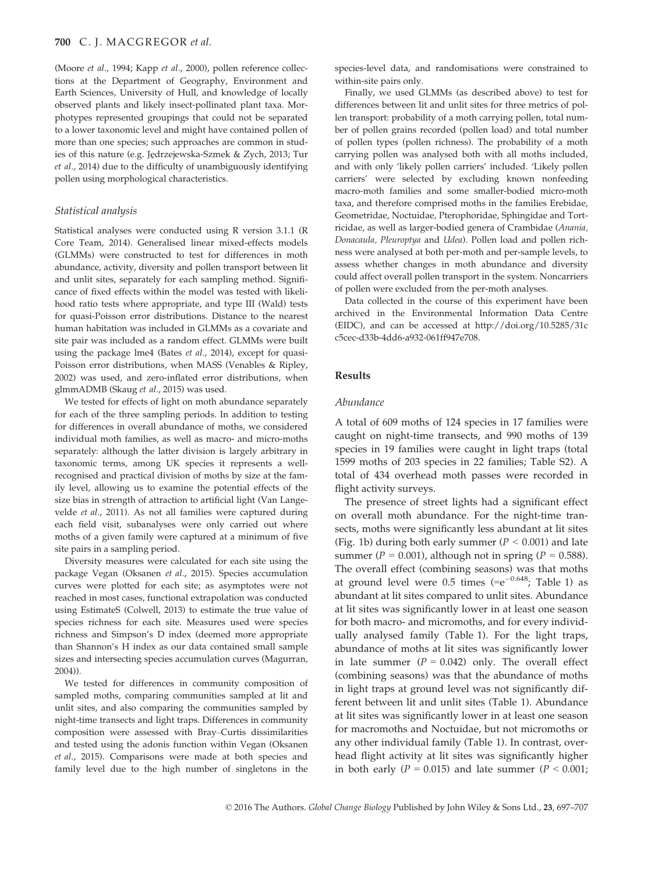(Moore et al., 1994; Kapp et al., 2000), pollen reference collections at the Department of Geography, Environment and Earth Sciences, University of Hull, and knowledge of locally observed plants and likely insect-pollinated plant taxa. Morphotypes represented groupings that could not be separated to a lower taxonomic level and might have contained pollen of more than one species; such approaches are common in studies of this nature (e.g. Jędrzejewska-Szmek & Zych, 2013; Tur et al., 2014) due to the difficulty of unambiguously identifying pollen using morphological characteristics.

#### Statistical analysis

Statistical analyses were conducted using R version 3.1.1 (R Core Team, 2014). Generalised linear mixed-effects models (GLMMs) were constructed to test for differences in moth abundance, activity, diversity and pollen transport between lit and unlit sites, separately for each sampling method. Significance of fixed effects within the model was tested with likelihood ratio tests where appropriate, and type III (Wald) tests for quasi-Poisson error distributions. Distance to the nearest human habitation was included in GLMMs as a covariate and site pair was included as a random effect. GLMMs were built using the package lme4 (Bates et al., 2014), except for quasi-Poisson error distributions, when MASS (Venables & Ripley, 2002) was used, and zero-inflated error distributions, when glmmADMB (Skaug et al., 2015) was used.

We tested for effects of light on moth abundance separately for each of the three sampling periods. In addition to testing for differences in overall abundance of moths, we considered individual moth families, as well as macro- and micro-moths separately: although the latter division is largely arbitrary in taxonomic terms, among UK species it represents a wellrecognised and practical division of moths by size at the family level, allowing us to examine the potential effects of the size bias in strength of attraction to artificial light (Van Langevelde et al., 2011). As not all families were captured during each field visit, subanalyses were only carried out where moths of a given family were captured at a minimum of five site pairs in a sampling period.

Diversity measures were calculated for each site using the package Vegan (Oksanen et al., 2015). Species accumulation curves were plotted for each site; as asymptotes were not reached in most cases, functional extrapolation was conducted using EstimateS (Colwell, 2013) to estimate the true value of species richness for each site. Measures used were species richness and Simpson's D index (deemed more appropriate than Shannon's H index as our data contained small sample sizes and intersecting species accumulation curves (Magurran, 2004)).

We tested for differences in community composition of sampled moths, comparing communities sampled at lit and unlit sites, and also comparing the communities sampled by night-time transects and light traps. Differences in community composition were assessed with Bray–Curtis dissimilarities and tested using the adonis function within Vegan (Oksanen et al., 2015). Comparisons were made at both species and family level due to the high number of singletons in the species-level data, and randomisations were constrained to within-site pairs only.

Finally, we used GLMMs (as described above) to test for differences between lit and unlit sites for three metrics of pollen transport: probability of a moth carrying pollen, total number of pollen grains recorded (pollen load) and total number of pollen types (pollen richness). The probability of a moth carrying pollen was analysed both with all moths included, and with only 'likely pollen carriers' included. 'Likely pollen carriers' were selected by excluding known nonfeeding macro-moth families and some smaller-bodied micro-moth taxa, and therefore comprised moths in the families Erebidae, Geometridae, Noctuidae, Pterophoridae, Sphingidae and Tortricidae, as well as larger-bodied genera of Crambidae (Anania, Donacaula, Pleuroptya and Udea). Pollen load and pollen richness were analysed at both per-moth and per-sample levels, to assess whether changes in moth abundance and diversity could affect overall pollen transport in the system. Noncarriers of pollen were excluded from the per-moth analyses.

Data collected in the course of this experiment have been archived in the Environmental Information Data Centre (EIDC), and can be accessed at [http://doi.org/10.5285/31c](http://doi.org/10.5285/31cc5cec-d33b-4dd6-a932-061ff947e708) [c5cec-d33b-4dd6-a932-061ff947e708](http://doi.org/10.5285/31cc5cec-d33b-4dd6-a932-061ff947e708).

## Results

#### Abundance

A total of 609 moths of 124 species in 17 families were caught on night-time transects, and 990 moths of 139 species in 19 families were caught in light traps (total 1599 moths of 203 species in 22 families; Table S2). A total of 434 overhead moth passes were recorded in flight activity surveys.

The presence of street lights had a significant effect on overall moth abundance. For the night-time transects, moths were significantly less abundant at lit sites (Fig. 1b) during both early summer ( $P < 0.001$ ) and late summer ( $P = 0.001$ ), although not in spring ( $P = 0.588$ ). The overall effect (combining seasons) was that moths at ground level were  $0.5$  times (= $e^{-0.648}$ ; Table 1) as abundant at lit sites compared to unlit sites. Abundance at lit sites was significantly lower in at least one season for both macro- and micromoths, and for every individually analysed family (Table 1). For the light traps, abundance of moths at lit sites was significantly lower in late summer  $(P = 0.042)$  only. The overall effect (combining seasons) was that the abundance of moths in light traps at ground level was not significantly different between lit and unlit sites (Table 1). Abundance at lit sites was significantly lower in at least one season for macromoths and Noctuidae, but not micromoths or any other individual family (Table 1). In contrast, overhead flight activity at lit sites was significantly higher in both early ( $P = 0.015$ ) and late summer ( $P < 0.001$ ;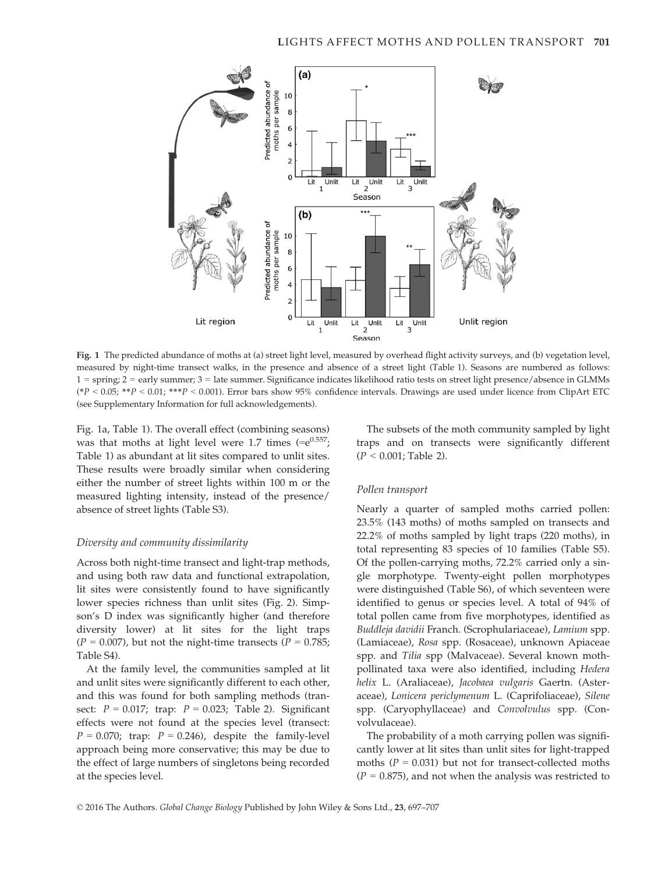

Fig. 1 The predicted abundance of moths at (a) street light level, measured by overhead flight activity surveys, and (b) vegetation level, measured by night-time transect walks, in the presence and absence of a street light (Table 1). Seasons are numbered as follows: 1 = spring; 2 = early summer; 3 = late summer. Significance indicates likelihood ratio tests on street light presence/absence in GLMMs  $(*P < 0.05; **P < 0.01; **P < 0.001)$ . Error bars show 95% confidence intervals. Drawings are used under licence from ClipArt ETC (see Supplementary Information for full acknowledgements).

Fig. 1a, Table 1). The overall effect (combining seasons) was that moths at light level were 1.7 times  $(=e^{0.557})$ ; Table 1) as abundant at lit sites compared to unlit sites. These results were broadly similar when considering either the number of street lights within 100 m or the measured lighting intensity, instead of the presence/ absence of street lights (Table S3).

#### Diversity and community dissimilarity

Across both night-time transect and light-trap methods, and using both raw data and functional extrapolation, lit sites were consistently found to have significantly lower species richness than unlit sites (Fig. 2). Simpson's D index was significantly higher (and therefore diversity lower) at lit sites for the light traps  $(P = 0.007)$ , but not the night-time transects  $(P = 0.785)$ ; Table S4).

At the family level, the communities sampled at lit and unlit sites were significantly different to each other, and this was found for both sampling methods (transect:  $P = 0.017$ ; trap:  $P = 0.023$ ; Table 2). Significant effects were not found at the species level (transect:  $P = 0.070$ ; trap:  $P = 0.246$ , despite the family-level approach being more conservative; this may be due to the effect of large numbers of singletons being recorded at the species level.

The subsets of the moth community sampled by light traps and on transects were significantly different  $(P < 0.001$ ; Table 2).

#### Pollen transport

Nearly a quarter of sampled moths carried pollen: 23.5% (143 moths) of moths sampled on transects and 22.2% of moths sampled by light traps (220 moths), in total representing 83 species of 10 families (Table S5). Of the pollen-carrying moths, 72.2% carried only a single morphotype. Twenty-eight pollen morphotypes were distinguished (Table S6), of which seventeen were identified to genus or species level. A total of 94% of total pollen came from five morphotypes, identified as Buddleja davidii Franch. (Scrophulariaceae), Lamium spp. (Lamiaceae), Rosa spp. (Rosaceae), unknown Apiaceae spp. and Tilia spp (Malvaceae). Several known mothpollinated taxa were also identified, including Hedera helix L. (Araliaceae), Jacobaea vulgaris Gaertn. (Asteraceae), Lonicera periclymenum L. (Caprifoliaceae), Silene spp. (Caryophyllaceae) and Convolvulus spp. (Convolvulaceae).

The probability of a moth carrying pollen was significantly lower at lit sites than unlit sites for light-trapped moths ( $P = 0.031$ ) but not for transect-collected moths  $(P = 0.875)$ , and not when the analysis was restricted to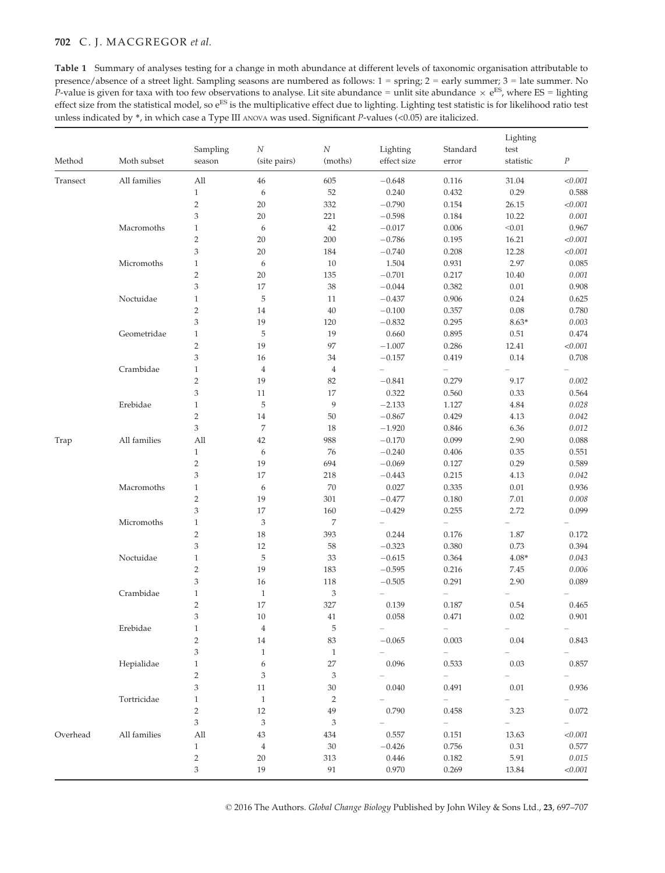# 702 C. J. MACGREGOR et al.

Table 1 Summary of analyses testing for a change in moth abundance at different levels of taxonomic organisation attributable to presence/absence of a street light. Sampling seasons are numbered as follows: 1 = spring; 2 = early summer; 3 = late summer. No P-value is given for taxa with too few observations to analyse. Lit site abundance = unlit site abundance  $\times e^{ES}$ , where ES = lighting effect size from the statistical model, so e<sup>ES</sup> is the multiplicative effect due to lighting. Lighting test statistic is for likelihood ratio test unless indicated by \*, in which case a Type III ANOVA was used. Significant P-values (<0.05) are italicized.

| Method   | Moth subset  | Sampling<br>season             | $\cal N$<br>(site pairs)    | $\cal N$<br>(moths)         | Lighting<br>effect size | Standard<br>error        | Lighting<br>test<br>statistic | $\cal P$     |
|----------|--------------|--------------------------------|-----------------------------|-----------------------------|-------------------------|--------------------------|-------------------------------|--------------|
| Transect | All families | All                            | 46                          | 605                         | $-0.648$                | 0.116                    | 31.04                         | < 0.001      |
|          |              | $\mathbf{1}$                   | $\boldsymbol{6}$            | 52                          | 0.240                   | 0.432                    | 0.29                          | 0.588        |
|          |              | $\overline{2}$                 | 20                          | 332                         | $-0.790$                | 0.154                    | 26.15                         | < 0.001      |
|          |              | 3                              | 20                          | 221                         | $-0.598$                | 0.184                    | 10.22                         | 0.001        |
|          | Macromoths   | $\mathbf{1}$                   | 6                           | 42                          | $-0.017$                | 0.006                    | < 0.01                        | 0.967        |
|          |              | $\sqrt{2}$                     | 20                          | 200                         | $-0.786$                | 0.195                    | 16.21                         | < 0.001      |
|          |              | 3                              | 20                          | 184                         | $-0.740$                | 0.208                    | 12.28                         | < 0.001      |
|          | Micromoths   | $\mathbf{1}$                   | 6                           | 10                          | 1.504                   | 0.931                    | 2.97                          | 0.085        |
|          |              | $\overline{2}$                 | 20                          | 135                         | $-0.701$                | 0.217                    | 10.40                         | 0.001        |
|          |              | 3                              | 17                          | 38                          | $-0.044$                | 0.382                    | 0.01                          | 0.908        |
|          | Noctuidae    | $\mathbf{1}$                   | $\mathbf 5$                 | 11                          | $-0.437$                | 0.906                    | 0.24                          | 0.625        |
|          |              | $\sqrt{2}$                     | 14                          | 40                          | $-0.100$                | 0.357                    | 0.08                          | 0.780        |
|          |              | 3                              | 19                          | 120                         | $-0.832$                | 0.295                    | $8.63*$                       | 0.003        |
|          | Geometridae  | $\mathbf{1}$                   | $\mathbf 5$                 | 19                          | 0.660                   | 0.895                    | 0.51                          | 0.474        |
|          |              | $\overline{2}$                 | 19                          | 97                          | $-1.007$                | 0.286                    | 12.41                         | < 0.001      |
|          |              | 3                              | 16                          | 34                          | $-0.157$                | 0.419                    | 0.14                          | 0.708        |
|          | Crambidae    | $\mathbf{1}$                   | $\,4$                       | $\,4\,$                     | $\equiv$                | $\overline{a}$           | $\overline{\phantom{0}}$      |              |
|          |              | $\mathbf{2}$                   | 19                          | 82                          | $-0.841$                | 0.279                    | 9.17                          | 0.002        |
|          |              | 3                              | 11                          | 17                          | 0.322                   | 0.560                    | 0.33                          | 0.564        |
|          | Erebidae     | $\mathbf{1}$                   | $\mathbf 5$                 | 9                           | $-2.133$                | 1.127                    | 4.84                          | 0.028        |
|          |              | $\overline{2}$                 | 14                          | 50                          | $-0.867$                | 0.429                    | 4.13                          | 0.042        |
|          |              | 3                              | $\overline{7}$              | 18                          | $-1.920$                | 0.846                    | 6.36                          | 0.012        |
| Trap     | All families | All                            | 42                          | 988                         | $-0.170$                | 0.099                    | 2.90                          | 0.088        |
|          |              | $\mathbf{1}$                   | $\boldsymbol{6}$            | 76                          | $-0.240$                | 0.406                    | 0.35                          | 0.551        |
|          |              | $\overline{2}$                 | 19                          | 694                         | $-0.069$                | 0.127                    | 0.29                          | 0.589        |
|          |              | 3                              | 17                          | 218                         | $-0.443$                | 0.215                    | 4.13                          | 0.042        |
|          | Macromoths   |                                |                             | 70                          | 0.027                   | 0.335                    | 0.01                          | 0.936        |
|          |              | $\mathbf{1}$                   | 6                           |                             |                         |                          |                               |              |
|          |              | $\sqrt{2}$<br>3                | 19                          | 301                         | $-0.477$                | 0.180                    | 7.01                          | 0.008        |
|          |              |                                | 17                          | 160                         | $-0.429$                | 0.255                    | 2.72                          | 0.099        |
|          | Micromoths   | $\mathbf{1}$<br>$\overline{2}$ | $\,$ 3 $\,$                 | 7                           | $\equiv$                | $\equiv$                 | $\overline{\phantom{0}}$      |              |
|          |              | 3                              | 18                          | 393                         | 0.244                   | 0.176                    | 1.87                          | 0.172        |
|          |              |                                | 12                          | 58                          | $-0.323$                | 0.380                    | 0.73                          | 0.394        |
|          | Noctuidae    | $\mathbf{1}$                   | $\mathbf 5$                 | 33                          | $-0.615$                | 0.364                    | $4.08*$                       | 0.043        |
|          |              | $\mathbf{2}$                   | 19                          | 183                         | $-0.595$                | 0.216                    | 7.45                          | 0.006        |
|          |              | 3                              | 16                          | 118                         | $-0.505$                | 0.291                    | 2.90                          | 0.089        |
|          | Crambidae    | $\mathbf{1}$                   | $\mathbf{1}$                | $\ensuremath{\mathsf{3}}$   |                         |                          |                               |              |
|          |              | $\sqrt{2}$                     | 17                          | 327                         | 0.139                   | 0.187                    | 0.54                          | 0.465        |
|          |              | 3                              | 10                          | 41                          | 0.058                   | 0.471                    | 0.02                          | 0.901        |
|          | Erebidae     | $\mathbf{1}$                   | $\overline{4}$              | 5                           |                         |                          |                               |              |
|          |              | $\sqrt{2}$                     | 14                          | 83                          | $-0.065$                | 0.003                    | $0.04\,$                      | 0.843        |
|          |              | 3                              | $\mathbf{1}$                | $\mathbf{1}$                |                         |                          |                               |              |
|          | Hepialidae   | $\mathbf{1}$                   | 6                           | $27\,$                      | 0.096                   | 0.533                    | $0.03\,$                      | 0.857        |
|          |              | $\overline{c}$                 | 3                           | $\ensuremath{\mathfrak{Z}}$ |                         | $\overline{\phantom{0}}$ |                               |              |
|          |              | 3                              | 11                          | $30\,$                      | 0.040                   | 0.491                    | $0.01\,$                      | 0.936        |
|          | Tortricidae  | $\mathbf{1}$                   | $\mathbf{1}$                | $\sqrt{2}$                  |                         | $\overline{\phantom{0}}$ |                               |              |
|          |              | $\overline{c}$                 | 12                          | 49                          | 0.790                   | 0.458                    | 3.23                          | 0.072        |
|          |              | 3                              | $\ensuremath{\mathfrak{Z}}$ | 3                           |                         |                          |                               |              |
| Overhead | All families | $\mathop{\rm All}\nolimits$    | 43                          | 434                         | 0.557                   | 0.151                    | 13.63                         | $<\!\!0.001$ |
|          |              | $\mathbf{1}$                   | $\overline{4}$              | 30                          | $-0.426$                | 0.756                    | 0.31                          | 0.577        |
|          |              | $\overline{c}$                 | $20\,$                      | 313                         | 0.446                   | 0.182                    | 5.91                          | 0.015        |
|          |              | 3                              | 19                          | 91                          | 0.970                   | 0.269                    | 13.84                         | $<\!\!0.001$ |

© 2016 The Authors. Global Change Biology Published by John Wiley & Sons Ltd., 23, 697–707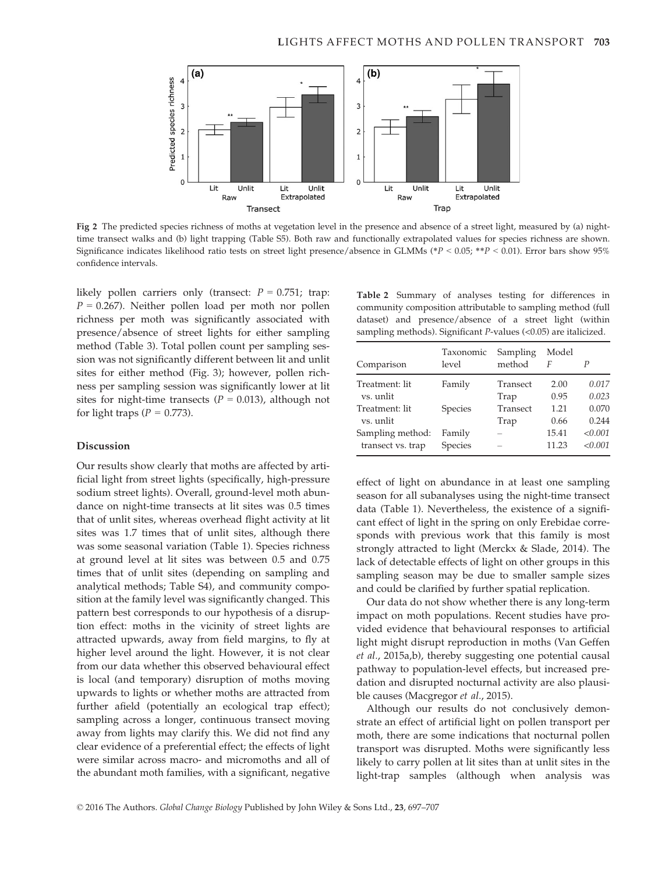

Fig 2 The predicted species richness of moths at vegetation level in the presence and absence of a street light, measured by (a) nighttime transect walks and (b) light trapping (Table S5). Both raw and functionally extrapolated values for species richness are shown. Significance indicates likelihood ratio tests on street light presence/absence in GLMMs (\* $P < 0.05$ ; \*\* $P < 0.01$ ). Error bars show 95% confidence intervals.

likely pollen carriers only (transect:  $P = 0.751$ ; trap:  $P = 0.267$ ). Neither pollen load per moth nor pollen richness per moth was significantly associated with presence/absence of street lights for either sampling method (Table 3). Total pollen count per sampling session was not significantly different between lit and unlit sites for either method (Fig. 3); however, pollen richness per sampling session was significantly lower at lit sites for night-time transects ( $P = 0.013$ ), although not for light traps ( $P = 0.773$ ).

## Discussion

Our results show clearly that moths are affected by artificial light from street lights (specifically, high-pressure sodium street lights). Overall, ground-level moth abundance on night-time transects at lit sites was 0.5 times that of unlit sites, whereas overhead flight activity at lit sites was 1.7 times that of unlit sites, although there was some seasonal variation (Table 1). Species richness at ground level at lit sites was between 0.5 and 0.75 times that of unlit sites (depending on sampling and analytical methods; Table S4), and community composition at the family level was significantly changed. This pattern best corresponds to our hypothesis of a disruption effect: moths in the vicinity of street lights are attracted upwards, away from field margins, to fly at higher level around the light. However, it is not clear from our data whether this observed behavioural effect is local (and temporary) disruption of moths moving upwards to lights or whether moths are attracted from further afield (potentially an ecological trap effect); sampling across a longer, continuous transect moving away from lights may clarify this. We did not find any clear evidence of a preferential effect; the effects of light were similar across macro- and micromoths and all of the abundant moth families, with a significant, negative

Table 2 Summary of analyses testing for differences in community composition attributable to sampling method (full dataset) and presence/absence of a street light (within sampling methods). Significant P-values (<0.05) are italicized.

| Comparison        | Taxonomic<br>level | Sampling<br>method | Model<br>F | Р       |
|-------------------|--------------------|--------------------|------------|---------|
| Treatment: lit    | Family             | Transect           | 2.00       | 0.017   |
| vs. unlit         |                    | Trap               | 0.95       | 0.023   |
| Treatment: lit    | Species            | Transect           | 1.21       | 0.070   |
| vs. unlit         |                    | Trap               | 0.66       | 0.244   |
| Sampling method:  | Family             |                    | 15.41      | < 0.001 |
| transect vs. trap | Species            |                    | 11.23      | < 0.001 |

effect of light on abundance in at least one sampling season for all subanalyses using the night-time transect data (Table 1). Nevertheless, the existence of a significant effect of light in the spring on only Erebidae corresponds with previous work that this family is most strongly attracted to light (Merckx & Slade, 2014). The lack of detectable effects of light on other groups in this sampling season may be due to smaller sample sizes and could be clarified by further spatial replication.

Our data do not show whether there is any long-term impact on moth populations. Recent studies have provided evidence that behavioural responses to artificial light might disrupt reproduction in moths (Van Geffen et al., 2015a,b), thereby suggesting one potential causal pathway to population-level effects, but increased predation and disrupted nocturnal activity are also plausible causes (Macgregor et al., 2015).

Although our results do not conclusively demonstrate an effect of artificial light on pollen transport per moth, there are some indications that nocturnal pollen transport was disrupted. Moths were significantly less likely to carry pollen at lit sites than at unlit sites in the light-trap samples (although when analysis was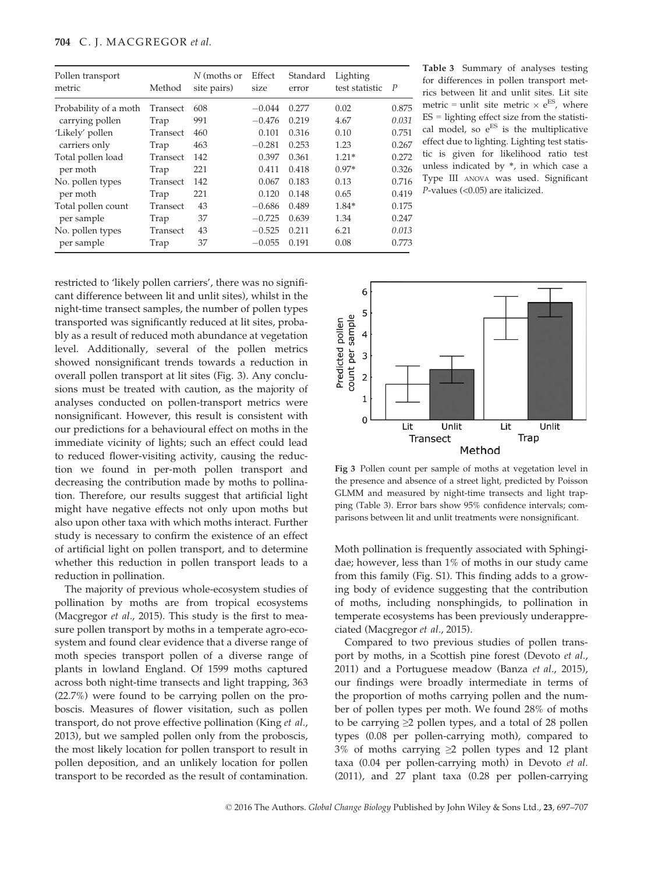| Pollen transport<br>metric | Method   | N (moths or<br>site pairs) | Effect<br>size | Standard<br>error | Lighting<br>test statistic | $\boldsymbol{P}$ |
|----------------------------|----------|----------------------------|----------------|-------------------|----------------------------|------------------|
| Probability of a moth      | Transect | 608                        | $-0.044$       | 0.277             | 0.02                       | 0.875            |
| carrying pollen            | Trap     | 991                        | $-0.476$       | 0.219             | 4.67                       | 0.031            |
| 'Likely' pollen            | Transect | 460                        | 0.101          | 0.316             | 0.10                       | 0.751            |
| carriers only              | Trap     | 463                        | $-0.281$       | 0.253             | 1.23                       | 0.267            |
| Total pollen load          | Transect | 142                        | 0.397          | 0.361             | $1.21*$                    | 0.272            |
| per moth                   | Trap     | 221                        | 0.411          | 0.418             | $0.97*$                    | 0.326            |
| No. pollen types           | Transect | 142                        | 0.067          | 0.183             | 0.13                       | 0.716            |
| per moth                   | Trap     | 221                        | 0.120          | 0.148             | 0.65                       | 0.419            |
| Total pollen count         | Transect | 43                         | $-0.686$       | 0.489             | 1.84*                      | 0.175            |
| per sample                 | Trap     | 37                         | $-0.725$       | 0.639             | 1.34                       | 0.247            |
| No. pollen types           | Transect | 43                         | $-0.525$       | 0.211             | 6.21                       | 0.013            |
| per sample                 | Trap     | 37                         | $-0.055$       | 0.191             | 0.08                       | 0.773            |

Table 3 Summary of analyses testing for differences in pollen transport metrics between lit and unlit sites. Lit site metric = unlit site metric  $\times e^{ES}$ , where  $ES =$  lighting effect size from the statistical model, so  $e^{ES}$  is the multiplicative effect due to lighting. Lighting test statistic is given for likelihood ratio test unless indicated by \*, in which case a Type III ANOVA was used. Significant P-values (<0.05) are italicized.

restricted to 'likely pollen carriers', there was no significant difference between lit and unlit sites), whilst in the night-time transect samples, the number of pollen types transported was significantly reduced at lit sites, probably as a result of reduced moth abundance at vegetation level. Additionally, several of the pollen metrics showed nonsignificant trends towards a reduction in overall pollen transport at lit sites (Fig. 3). Any conclusions must be treated with caution, as the majority of analyses conducted on pollen-transport metrics were nonsignificant. However, this result is consistent with our predictions for a behavioural effect on moths in the immediate vicinity of lights; such an effect could lead to reduced flower-visiting activity, causing the reduction we found in per-moth pollen transport and decreasing the contribution made by moths to pollination. Therefore, our results suggest that artificial light might have negative effects not only upon moths but also upon other taxa with which moths interact. Further study is necessary to confirm the existence of an effect of artificial light on pollen transport, and to determine whether this reduction in pollen transport leads to a reduction in pollination.

The majority of previous whole-ecosystem studies of pollination by moths are from tropical ecosystems (Macgregor *et al.*, 2015). This study is the first to measure pollen transport by moths in a temperate agro-ecosystem and found clear evidence that a diverse range of moth species transport pollen of a diverse range of plants in lowland England. Of 1599 moths captured across both night-time transects and light trapping, 363 (22.7%) were found to be carrying pollen on the proboscis. Measures of flower visitation, such as pollen transport, do not prove effective pollination (King et al., 2013), but we sampled pollen only from the proboscis, the most likely location for pollen transport to result in pollen deposition, and an unlikely location for pollen transport to be recorded as the result of contamination.



Fig 3 Pollen count per sample of moths at vegetation level in the presence and absence of a street light, predicted by Poisson GLMM and measured by night-time transects and light trapping (Table 3). Error bars show 95% confidence intervals; comparisons between lit and unlit treatments were nonsignificant.

Moth pollination is frequently associated with Sphingidae; however, less than 1% of moths in our study came from this family (Fig. S1). This finding adds to a growing body of evidence suggesting that the contribution of moths, including nonsphingids, to pollination in temperate ecosystems has been previously underappreciated (Macgregor et al., 2015).

Compared to two previous studies of pollen transport by moths, in a Scottish pine forest (Devoto et al., 2011) and a Portuguese meadow (Banza et al., 2015), our findings were broadly intermediate in terms of the proportion of moths carrying pollen and the number of pollen types per moth. We found 28% of moths to be carrying  $\geq 2$  pollen types, and a total of 28 pollen types (0.08 per pollen-carrying moth), compared to 3% of moths carrying ≥2 pollen types and 12 plant taxa (0.04 per pollen-carrying moth) in Devoto et al. (2011), and 27 plant taxa (0.28 per pollen-carrying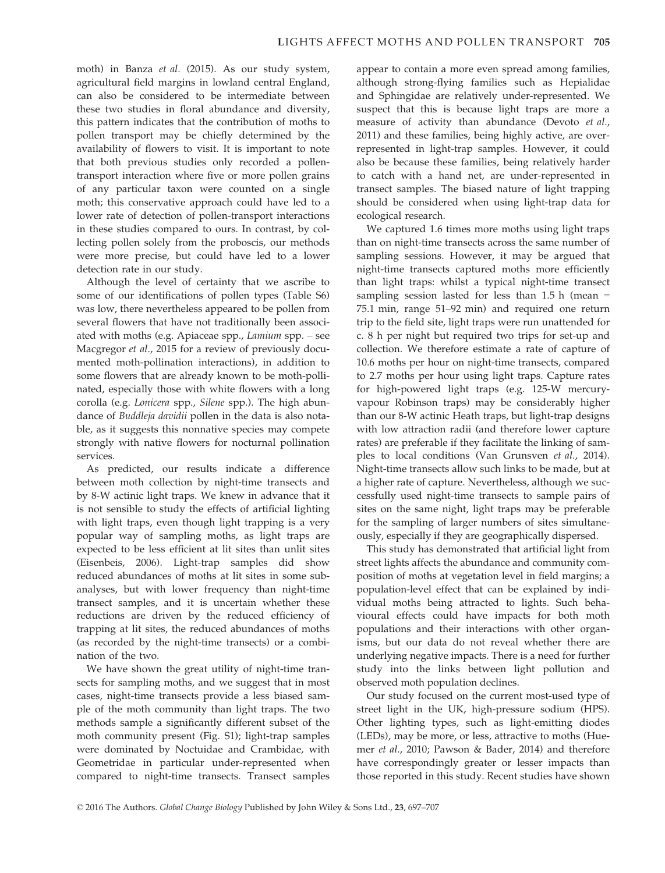moth) in Banza et al. (2015). As our study system, agricultural field margins in lowland central England, can also be considered to be intermediate between these two studies in floral abundance and diversity, this pattern indicates that the contribution of moths to pollen transport may be chiefly determined by the availability of flowers to visit. It is important to note that both previous studies only recorded a pollentransport interaction where five or more pollen grains of any particular taxon were counted on a single moth; this conservative approach could have led to a lower rate of detection of pollen-transport interactions in these studies compared to ours. In contrast, by collecting pollen solely from the proboscis, our methods were more precise, but could have led to a lower detection rate in our study.

Although the level of certainty that we ascribe to some of our identifications of pollen types (Table S6) was low, there nevertheless appeared to be pollen from several flowers that have not traditionally been associated with moths (e.g. Apiaceae spp., Lamium spp. – see Macgregor et al., 2015 for a review of previously documented moth-pollination interactions), in addition to some flowers that are already known to be moth-pollinated, especially those with white flowers with a long corolla (e.g. Lonicera spp., Silene spp.). The high abundance of Buddleja davidii pollen in the data is also notable, as it suggests this nonnative species may compete strongly with native flowers for nocturnal pollination services.

As predicted, our results indicate a difference between moth collection by night-time transects and by 8-W actinic light traps. We knew in advance that it is not sensible to study the effects of artificial lighting with light traps, even though light trapping is a very popular way of sampling moths, as light traps are expected to be less efficient at lit sites than unlit sites (Eisenbeis, 2006). Light-trap samples did show reduced abundances of moths at lit sites in some subanalyses, but with lower frequency than night-time transect samples, and it is uncertain whether these reductions are driven by the reduced efficiency of trapping at lit sites, the reduced abundances of moths (as recorded by the night-time transects) or a combination of the two.

We have shown the great utility of night-time transects for sampling moths, and we suggest that in most cases, night-time transects provide a less biased sample of the moth community than light traps. The two methods sample a significantly different subset of the moth community present (Fig. S1); light-trap samples were dominated by Noctuidae and Crambidae, with Geometridae in particular under-represented when compared to night-time transects. Transect samples appear to contain a more even spread among families, although strong-flying families such as Hepialidae and Sphingidae are relatively under-represented. We suspect that this is because light traps are more a measure of activity than abundance (Devoto et al., 2011) and these families, being highly active, are overrepresented in light-trap samples. However, it could also be because these families, being relatively harder to catch with a hand net, are under-represented in transect samples. The biased nature of light trapping should be considered when using light-trap data for ecological research.

We captured 1.6 times more moths using light traps than on night-time transects across the same number of sampling sessions. However, it may be argued that night-time transects captured moths more efficiently than light traps: whilst a typical night-time transect sampling session lasted for less than  $1.5$  h (mean = 75.1 min, range 51–92 min) and required one return trip to the field site, light traps were run unattended for c. 8 h per night but required two trips for set-up and collection. We therefore estimate a rate of capture of 10.6 moths per hour on night-time transects, compared to 2.7 moths per hour using light traps. Capture rates for high-powered light traps (e.g. 125-W mercuryvapour Robinson traps) may be considerably higher than our 8-W actinic Heath traps, but light-trap designs with low attraction radii (and therefore lower capture rates) are preferable if they facilitate the linking of samples to local conditions (Van Grunsven et al., 2014). Night-time transects allow such links to be made, but at a higher rate of capture. Nevertheless, although we successfully used night-time transects to sample pairs of sites on the same night, light traps may be preferable for the sampling of larger numbers of sites simultaneously, especially if they are geographically dispersed.

This study has demonstrated that artificial light from street lights affects the abundance and community composition of moths at vegetation level in field margins; a population-level effect that can be explained by individual moths being attracted to lights. Such behavioural effects could have impacts for both moth populations and their interactions with other organisms, but our data do not reveal whether there are underlying negative impacts. There is a need for further study into the links between light pollution and observed moth population declines.

Our study focused on the current most-used type of street light in the UK, high-pressure sodium (HPS). Other lighting types, such as light-emitting diodes (LEDs), may be more, or less, attractive to moths (Huemer et al., 2010; Pawson & Bader, 2014) and therefore have correspondingly greater or lesser impacts than those reported in this study. Recent studies have shown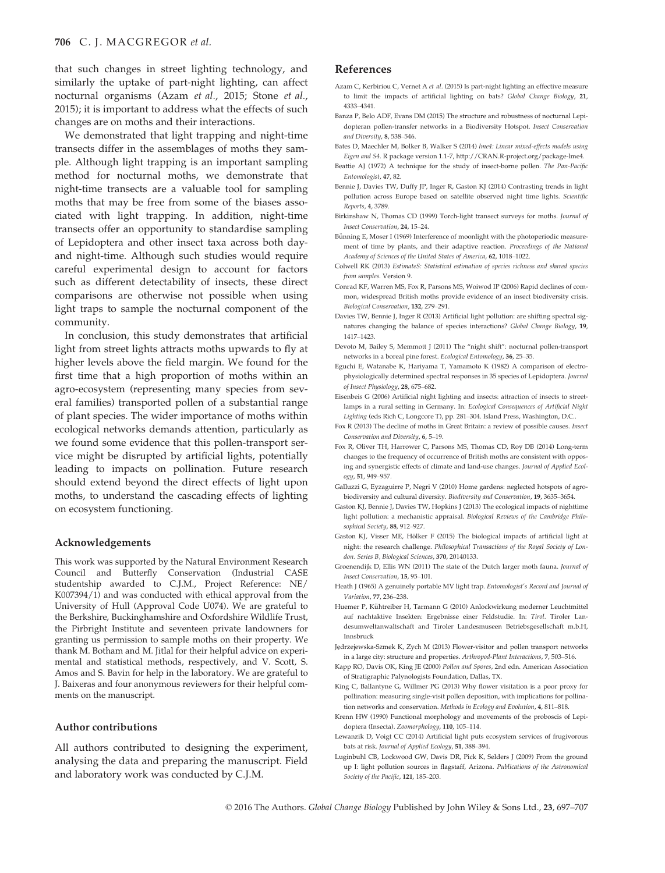that such changes in street lighting technology, and similarly the uptake of part-night lighting, can affect nocturnal organisms (Azam et al., 2015; Stone et al., 2015); it is important to address what the effects of such changes are on moths and their interactions.

We demonstrated that light trapping and night-time transects differ in the assemblages of moths they sample. Although light trapping is an important sampling method for nocturnal moths, we demonstrate that night-time transects are a valuable tool for sampling moths that may be free from some of the biases associated with light trapping. In addition, night-time transects offer an opportunity to standardise sampling of Lepidoptera and other insect taxa across both dayand night-time. Although such studies would require careful experimental design to account for factors such as different detectability of insects, these direct comparisons are otherwise not possible when using light traps to sample the nocturnal component of the community.

In conclusion, this study demonstrates that artificial light from street lights attracts moths upwards to fly at higher levels above the field margin. We found for the first time that a high proportion of moths within an agro-ecosystem (representing many species from several families) transported pollen of a substantial range of plant species. The wider importance of moths within ecological networks demands attention, particularly as we found some evidence that this pollen-transport service might be disrupted by artificial lights, potentially leading to impacts on pollination. Future research should extend beyond the direct effects of light upon moths, to understand the cascading effects of lighting on ecosystem functioning.

#### Acknowledgements

This work was supported by the Natural Environment Research Council and Butterfly Conservation (Industrial CASE studentship awarded to C.J.M., Project Reference: NE/ K007394/1) and was conducted with ethical approval from the University of Hull (Approval Code U074). We are grateful to the Berkshire, Buckinghamshire and Oxfordshire Wildlife Trust, the Pirbright Institute and seventeen private landowners for granting us permission to sample moths on their property. We thank M. Botham and M. Jitlal for their helpful advice on experimental and statistical methods, respectively, and V. Scott, S. Amos and S. Bavin for help in the laboratory. We are grateful to J. Baixeras and four anonymous reviewers for their helpful comments on the manuscript.

## Author contributions

All authors contributed to designing the experiment, analysing the data and preparing the manuscript. Field and laboratory work was conducted by C.J.M.

#### References

- Azam C, Kerbiriou C, Vernet A et al. (2015) Is part-night lighting an effective measure to limit the impacts of artificial lighting on bats? Global Change Biology, 21, 4333–4341.
- Banza P, Belo ADF, Evans DM (2015) The structure and robustness of nocturnal Lepidopteran pollen-transfer networks in a Biodiversity Hotspot. Insect Conservation and Diversity, 8, 538–546.
- Bates D, Maechler M, Bolker B, Walker S (2014) lme4: Linear mixed-effects models using Eigen and S4. R package version 1.1-7,<http://CRAN.R-project.org/package-lme4>.
- Beattie AJ (1972) A technique for the study of insect-borne pollen. The Pan-Pacific Entomologist, 47, 82.
- Bennie J, Davies TW, Duffy JP, Inger R, Gaston KJ (2014) Contrasting trends in light pollution across Europe based on satellite observed night time lights. Scientific Reports, 4, 3789.
- Birkinshaw N, Thomas CD (1999) Torch-light transect surveys for moths. Journal of Insect Conservation, 24, 15–24.
- Bünning E, Moser I (1969) Interference of moonlight with the photoperiodic measurement of time by plants, and their adaptive reaction. Proceedings of the National Academy of Sciences of the United States of America, 62, 1018–1022.
- Colwell RK (2013) EstimateS: Statistical estimation of species richness and shared species from samples. Version 9.
- Conrad KF, Warren MS, Fox R, Parsons MS, Woiwod IP (2006) Rapid declines of common, widespread British moths provide evidence of an insect biodiversity crisis. Biological Conservation, 132, 279–291.
- Davies TW, Bennie J, Inger R (2013) Artificial light pollution: are shifting spectral signatures changing the balance of species interactions? Global Change Biology, 19, 1417–1423.
- Devoto M, Bailey S, Memmott J (2011) The "night shift": nocturnal pollen-transport networks in a boreal pine forest. Ecological Entomology, 36, 25–35.
- Eguchi E, Watanabe K, Hariyama T, Yamamoto K (1982) A comparison of electrophysiologically determined spectral responses in 35 species of Lepidoptera. Journal of Insect Physiology, 28, 675–682.
- Eisenbeis G (2006) Artificial night lighting and insects: attraction of insects to streetlamps in a rural setting in Germany. In: Ecological Consequences of Artificial Night Lighting (eds Rich C, Longcore T), pp. 281–304. Island Press, Washington, D.C..
- Fox R (2013) The decline of moths in Great Britain: a review of possible causes. Insect Conservation and Diversity, 6, 5–19.
- Fox R, Oliver TH, Harrower C, Parsons MS, Thomas CD, Roy DB (2014) Long-term changes to the frequency of occurrence of British moths are consistent with opposing and synergistic effects of climate and land-use changes. Journal of Applied Ecology, 51, 949–957.
- Galluzzi G, Eyzaguirre P, Negri V (2010) Home gardens: neglected hotspots of agrobiodiversity and cultural diversity. Biodiversity and Conservation, 19, 3635–3654.
- Gaston KJ, Bennie J, Davies TW, Hopkins J (2013) The ecological impacts of nighttime light pollution: a mechanistic appraisal. Biological Reviews of the Cambridge Philosophical Society, 88, 912–927.
- Gaston KJ, Visser ME, Hölker F (2015) The biological impacts of artificial light at night: the research challenge. Philosophical Transactions of the Royal Society of London. Series B, Biological Sciences, 370, 20140133.
- Groenendijk D, Ellis WN (2011) The state of the Dutch larger moth fauna. Journal of Insect Conservation, 15, 95–101.
- Heath J (1965) A genuinely portable MV light trap. Entomologist's Record and Journal of Variation, 77, 236–238.
- Huemer P, Kühtreiber H, Tarmann G (2010) Anlockwirkung moderner Leuchtmittel auf nachtaktive Insekten: Ergebnisse einer Feldstudie. In: Tirol. Tiroler Landesumweltanwaltschaft and Tiroler Landesmuseen Betriebsgesellschaft m.b.H, Innsbruck
- Jedrzejewska-Szmek K, Zych M (2013) Flower-visitor and pollen transport networks in a large city: structure and properties. Arthropod-Plant Interactions, 7, 503–516.
- Kapp RO, Davis OK, King JE (2000) Pollen and Spores, 2nd edn. American Association of Stratigraphic Palynologists Foundation, Dallas, TX.
- King C, Ballantyne G, Willmer PG (2013) Why flower visitation is a poor proxy for pollination: measuring single-visit pollen deposition, with implications for pollination networks and conservation. Methods in Ecology and Evolution, 4, 811–818.
- Krenn HW (1990) Functional morphology and movements of the proboscis of Lepidoptera (Insecta). Zoomorphology, 110, 105–114.
- Lewanzik D, Voigt CC (2014) Artificial light puts ecosystem services of frugivorous bats at risk. Journal of Applied Ecology, 51, 388–394.
- Luginbuhl CB, Lockwood GW, Davis DR, Pick K, Selders J (2009) From the ground up I: light pollution sources in flagstaff, Arizona. Publications of the Astronomical Society of the Pacific, 121, 185–203.